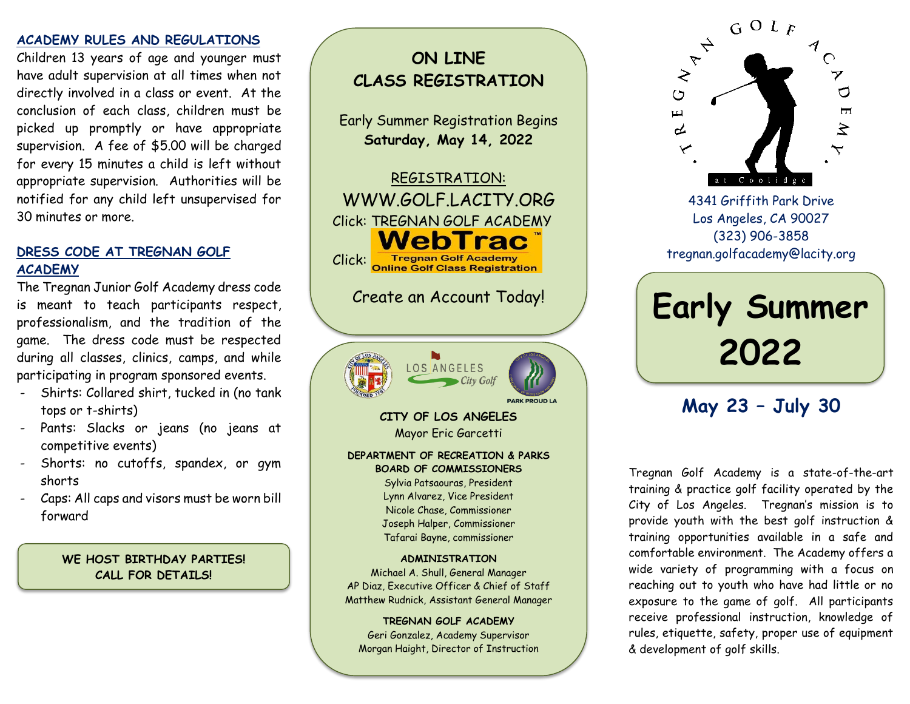#### **ACADEMY RULES AND REGULATIONS**

Children 13 years of age and younger must have adult supervision at all times when not directly involved in a class or event. At the conclusion of each class, children must be picked up promptly or have appropriate supervision. A fee of \$5.00 will be charged for every 15 minutes a child is left without appropriate supervision. Authorities will be notified for any child left unsupervised for 30 minutes or more.

## **DRESS CODE AT TREGNAN GOLF ACADEMY**

The Tregnan Junior Golf Academy dress code is meant to teach participants respect, professionalism, and the tradition of the game. The dress code must be respected during all classes, clinics, camps, and while participating in program sponsored events.

- Shirts: Collared shirt, tucked in (no tank tops or t-shirts)
- Pants: Slacks or jeans (no jeans at competitive events)
- Shorts: no cutoffs, spandex, or gym shorts
- Caps: All caps and visors must be worn bill forward

**WE HOST BIRTHDAY PARTIES! CALL FOR DETAILS!**

# **ON LINE CLASS REGISTRATION**

Early Summer Registration Begins **Saturday, May 14, 2022**

REGISTRATION: WWW.GOLF.LACITY.ORG Click: TREGNAN GOLF ACADEMY WebTrac Click: Tregnan Golf Academy<br>Online Golf Class Registration

Create an Account Today!



**CITY OF LOS ANGELES** Mayor Eric Garcetti

#### **DEPARTMENT OF RECREATION & PARKS BOARD OF COMMISSIONERS**

Sylvia Patsaouras, President Lynn Alvarez, Vice President Nicole Chase, Commissioner Joseph Halper, Commissioner Tafarai Bayne, commissioner

#### **ADMINISTRATION**

Michael A. Shull, General Manager AP Diaz, Executive Officer & Chief of Staff Matthew Rudnick, Assistant General Manager

**TREGNAN GOLF ACADEMY**  Geri Gonzalez, Academy Supervisor Morgan Haight, Director of Instruction



4341 Griffith Park Drive Los Angeles, CA 90027 (323) 906-3858 [tregnan.golfacademy@lacity.org](mailto:tregnan.golfacademy@lacity.org)

**Early Summer 2022**

# **May 23 – July 30**

Tregnan Golf Academy is a state-of-the-art training & practice golf facility operated by the City of Los Angeles. Tregnan's mission is to provide youth with the best golf instruction & training opportunities available in a safe and comfortable environment. The Academy offers a wide variety of programming with a focus on reaching out to youth who have had little or no exposure to the game of golf. All participants receive professional instruction, knowledge of rules, etiquette, safety, proper use of equipment & development of golf skills.